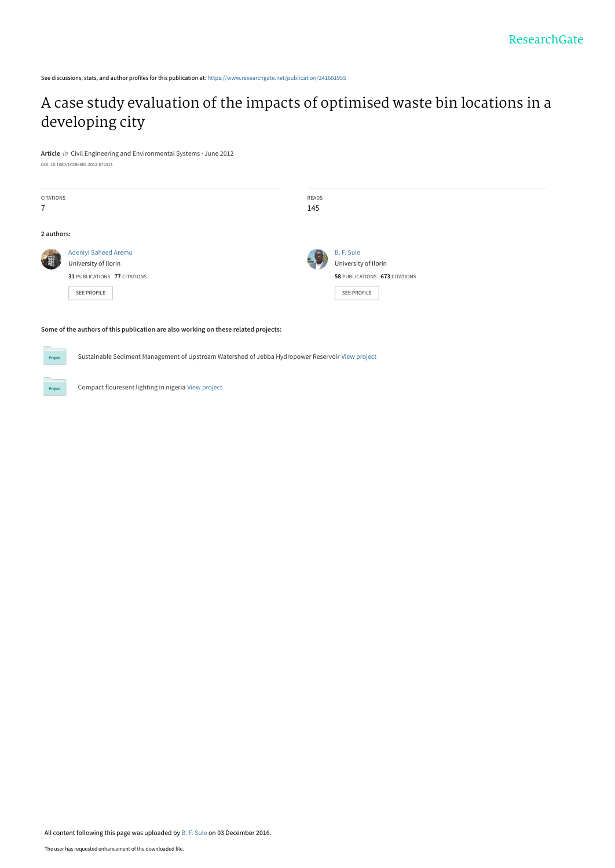See discussions, stats, and author profiles for this publication at: [https://www.researchgate.net/publication/241681955](https://www.researchgate.net/publication/241681955_A_case_study_evaluation_of_the_impacts_of_optimised_waste_bin_locations_in_a_developing_city?enrichId=rgreq-5e5c1d0ab20bb476b84eb5507d3f433f-XXX&enrichSource=Y292ZXJQYWdlOzI0MTY4MTk1NTtBUzo0MzUxNTA0ODA3NzcyMTZAMTQ4MDc1OTM2NzI0Mw%3D%3D&el=1_x_2&_esc=publicationCoverPdf)

# [A case study evaluation of the impacts of optimised waste bin locations in a](https://www.researchgate.net/publication/241681955_A_case_study_evaluation_of_the_impacts_of_optimised_waste_bin_locations_in_a_developing_city?enrichId=rgreq-5e5c1d0ab20bb476b84eb5507d3f433f-XXX&enrichSource=Y292ZXJQYWdlOzI0MTY4MTk1NTtBUzo0MzUxNTA0ODA3NzcyMTZAMTQ4MDc1OTM2NzI0Mw%3D%3D&el=1_x_3&_esc=publicationCoverPdf) developing city

**Article** in Civil Engineering and Environmental Systems · June 2012 DOI: 10.1080/10286608.2012.672411

| <b>CITATIONS</b><br>$\overline{7}$ |                                                                                                    | READS<br>145 |                                                                                           |
|------------------------------------|----------------------------------------------------------------------------------------------------|--------------|-------------------------------------------------------------------------------------------|
| 2 authors:                         |                                                                                                    |              |                                                                                           |
|                                    | Adeniyi Saheed Aremu<br>University of Ilorin<br>31 PUBLICATIONS 77 CITATIONS<br><b>SEE PROFILE</b> |              | B. F. Sule<br>University of Ilorin<br>58 PUBLICATIONS 673 CITATIONS<br><b>SEE PROFILE</b> |

#### **Some of the authors of this publication are also working on these related projects:**

Sustainable Sediment Management of Upstream Watershed of Jebba Hydropower Reservoir [View project](https://www.researchgate.net/project/Sustainable-Sediment-Management-of-Upstream-Watershed-of-Jebba-Hydropower-Reservoir?enrichId=rgreq-5e5c1d0ab20bb476b84eb5507d3f433f-XXX&enrichSource=Y292ZXJQYWdlOzI0MTY4MTk1NTtBUzo0MzUxNTA0ODA3NzcyMTZAMTQ4MDc1OTM2NzI0Mw%3D%3D&el=1_x_9&_esc=publicationCoverPdf)

Compact flouresent lighting in nigeria [View project](https://www.researchgate.net/project/Compact-flouresent-lighting-in-nigeria?enrichId=rgreq-5e5c1d0ab20bb476b84eb5507d3f433f-XXX&enrichSource=Y292ZXJQYWdlOzI0MTY4MTk1NTtBUzo0MzUxNTA0ODA3NzcyMTZAMTQ4MDc1OTM2NzI0Mw%3D%3D&el=1_x_9&_esc=publicationCoverPdf)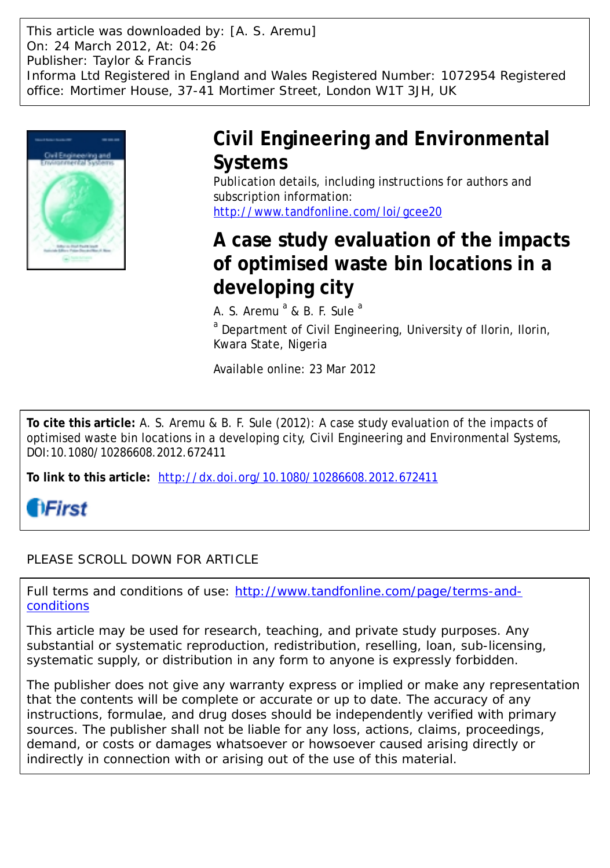This article was downloaded by: [A. S. Aremu] On: 24 March 2012, At: 04:26 Publisher: Taylor & Francis Informa Ltd Registered in England and Wales Registered Number: 1072954 Registered office: Mortimer House, 37-41 Mortimer Street, London W1T 3JH, UK



# **Civil Engineering and Environmental Systems**

Publication details, including instructions for authors and subscription information: <http://www.tandfonline.com/loi/gcee20>

# **A case study evaluation of the impacts of optimised waste bin locations in a developing city**

A. S. Aremu <sup>a</sup> & B. F. Sule <sup>a</sup>

<sup>a</sup> Department of Civil Engineering, University of Ilorin, Ilorin, Kwara State, Nigeria

Available online: 23 Mar 2012

**To cite this article:** A. S. Aremu & B. F. Sule (2012): A case study evaluation of the impacts of optimised waste bin locations in a developing city, Civil Engineering and Environmental Systems, DOI:10.1080/10286608.2012.672411

**To link to this article:** <http://dx.doi.org/10.1080/10286608.2012.672411>



# PLEASE SCROLL DOWN FOR ARTICLE

Full terms and conditions of use: [http://www.tandfonline.com/page/terms-and](http://www.tandfonline.com/page/terms-and-conditions)[conditions](http://www.tandfonline.com/page/terms-and-conditions)

This article may be used for research, teaching, and private study purposes. Any substantial or systematic reproduction, redistribution, reselling, loan, sub-licensing, systematic supply, or distribution in any form to anyone is expressly forbidden.

The publisher does not give any warranty express or implied or make any representation that the contents will be complete or accurate or up to date. The accuracy of any instructions, formulae, and drug doses should be independently verified with primary sources. The publisher shall not be liable for any loss, actions, claims, proceedings, demand, or costs or damages whatsoever or howsoever caused arising directly or indirectly in connection with or arising out of the use of this material.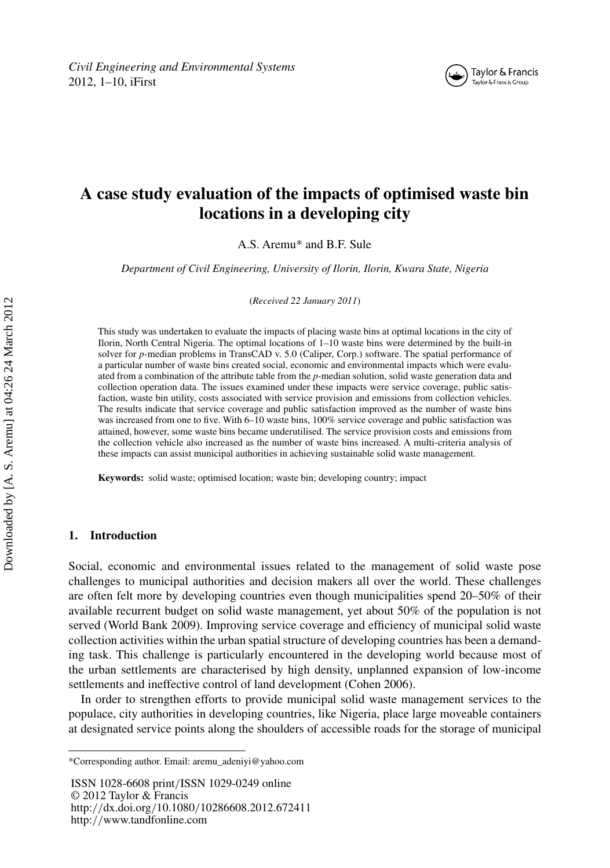

# **A case study evaluation of the impacts of optimised waste bin locations in a developing city**

A.S. Aremu\* and B.F. Sule

*Department of Civil Engineering, University of Ilorin, Ilorin, Kwara State, Nigeria*

(*Received 22 January 2011*)

This study was undertaken to evaluate the impacts of placing waste bins at optimal locations in the city of Ilorin, North Central Nigeria. The optimal locations of 1–10 waste bins were determined by the built-in solver for *p*-median problems in TransCAD v. 5.0 (Caliper, Corp.) software. The spatial performance of a particular number of waste bins created social, economic and environmental impacts which were evaluated from a combination of the attribute table from the *p*-median solution, solid waste generation data and collection operation data. The issues examined under these impacts were service coverage, public satisfaction, waste bin utility, costs associated with service provision and emissions from collection vehicles. The results indicate that service coverage and public satisfaction improved as the number of waste bins was increased from one to five. With 6–10 waste bins,  $100\%$  service coverage and public satisfaction was attained, however, some waste bins became underutilised. The service provision costs and emissions from the collection vehicle also increased as the number of waste bins increased. A multi-criteria analysis of these impacts can assist municipal authorities in achieving sustainable solid waste management.

**Keywords:** solid waste; optimised location; waste bin; developing country; impact

## **1. Introduction**

Social, economic and environmental issues related to the management of solid waste pose challenges to municipal authorities and decision makers all over the world. These challenges are often felt more by developing countries even though municipalities spend 20–50% of their available recurrent budget on solid waste management, yet about 50% of the population is not served (World Bank 2009). Improving service coverage and efficiency of municipal solid waste collection activities within the urban spatial structure of developing countries has been a demanding task. This challenge is particularly encountered in the developing world because most of the urban settlements are characterised by high density, unplanned expansion of low-income settlements and ineffective control of land development (Cohen 2006).

In order to strengthen efforts to provide municipal solid waste management services to the populace, city authorities in developing countries, like Nigeria, place large moveable containers at designated service points along the shoulders of accessible roads for the storage of municipal

ISSN 1028-6608 print*/*ISSN 1029-0249 online © 2012 Taylor & Francis http:*//*dx.doi.org*/*10.1080*/*10286608.2012.672411 http:*//*www.tandfonline.com

<sup>\*</sup>Corresponding author. Email: aremu\_adeniyi@yahoo.com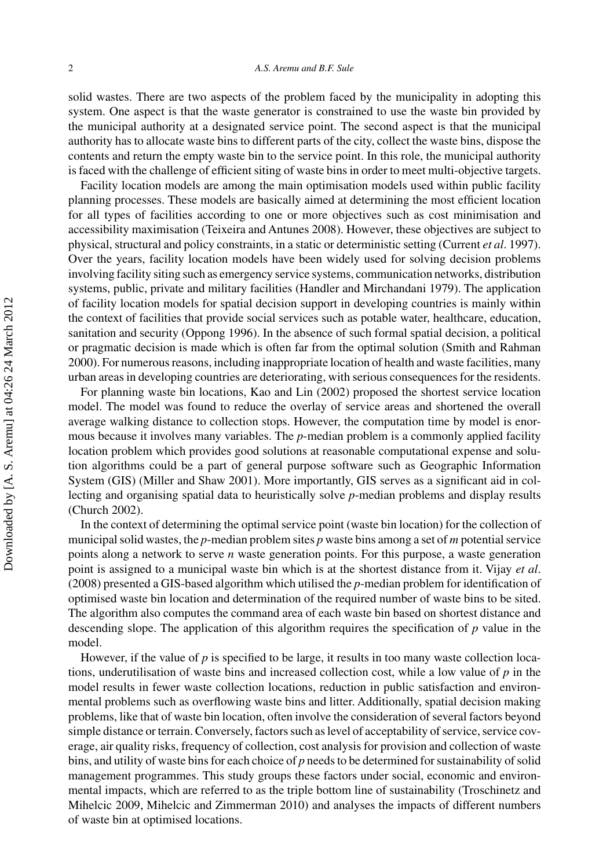solid wastes. There are two aspects of the problem faced by the municipality in adopting this system. One aspect is that the waste generator is constrained to use the waste bin provided by the municipal authority at a designated service point. The second aspect is that the municipal authority has to allocate waste bins to different parts of the city, collect the waste bins, dispose the contents and return the empty waste bin to the service point. In this role, the municipal authority is faced with the challenge of efficient siting of waste bins in order to meet multi-objective targets.

Facility location models are among the main optimisation models used within public facility planning processes. These models are basically aimed at determining the most efficient location for all types of facilities according to one or more objectives such as cost minimisation and accessibility maximisation (Teixeira and Antunes 2008). However, these objectives are subject to physical, structural and policy constraints, in a static or deterministic setting (Current *et al*. 1997). Over the years, facility location models have been widely used for solving decision problems involving facility siting such as emergency service systems, communication networks, distribution systems, public, private and military facilities (Handler and Mirchandani 1979). The application of facility location models for spatial decision support in developing countries is mainly within the context of facilities that provide social services such as potable water, healthcare, education, sanitation and security (Oppong 1996). In the absence of such formal spatial decision, a political or pragmatic decision is made which is often far from the optimal solution (Smith and Rahman 2000). For numerous reasons, including inappropriate location of health and waste facilities, many urban areas in developing countries are deteriorating, with serious consequences for the residents.

For planning waste bin locations, Kao and Lin (2002) proposed the shortest service location model. The model was found to reduce the overlay of service areas and shortened the overall average walking distance to collection stops. However, the computation time by model is enormous because it involves many variables. The *p*-median problem is a commonly applied facility location problem which provides good solutions at reasonable computational expense and solution algorithms could be a part of general purpose software such as Geographic Information System (GIS) (Miller and Shaw 2001). More importantly, GIS serves as a significant aid in collecting and organising spatial data to heuristically solve *p*-median problems and display results (Church 2002).

In the context of determining the optimal service point (waste bin location) for the collection of municipal solid wastes, the *p*-median problem sites *p* waste bins among a set of *m* potential service points along a network to serve *n* waste generation points. For this purpose, a waste generation point is assigned to a municipal waste bin which is at the shortest distance from it. Vijay *et al*. (2008) presented a GIS-based algorithm which utilised the *p*-median problem for identification of optimised waste bin location and determination of the required number of waste bins to be sited. The algorithm also computes the command area of each waste bin based on shortest distance and descending slope. The application of this algorithm requires the specification of *p* value in the model.

However, if the value of  $p$  is specified to be large, it results in too many waste collection locations, underutilisation of waste bins and increased collection cost, while a low value of  $p$  in the model results in fewer waste collection locations, reduction in public satisfaction and environmental problems such as overflowing waste bins and litter. Additionally, spatial decision making problems, like that of waste bin location, often involve the consideration of several factors beyond simple distance or terrain. Conversely, factors such as level of acceptability of service, service coverage, air quality risks, frequency of collection, cost analysis for provision and collection of waste bins, and utility of waste bins for each choice of *p* needs to be determined for sustainability of solid management programmes. This study groups these factors under social, economic and environmental impacts, which are referred to as the triple bottom line of sustainability (Troschinetz and Mihelcic 2009, Mihelcic and Zimmerman 2010) and analyses the impacts of different numbers of waste bin at optimised locations.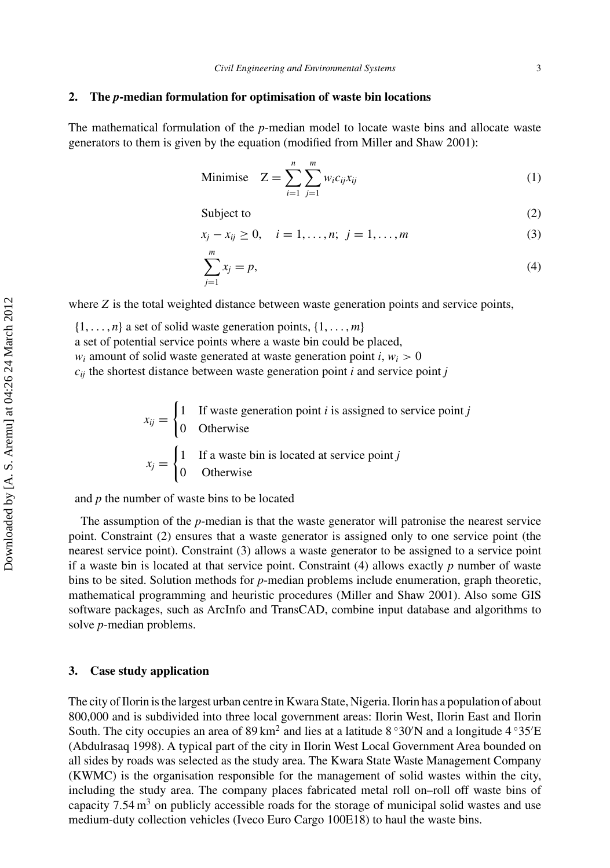#### **2. The** *p***-median formulation for optimisation of waste bin locations**

The mathematical formulation of the *p*-median model to locate waste bins and allocate waste generators to them is given by the equation (modified from Miller and Shaw 2001):

Minimise 
$$
Z = \sum_{i=1}^{n} \sum_{j=1}^{m} w_i c_{ij} x_{ij}
$$
 (1)

Subject to (2)

$$
x_j - x_{ij} \ge 0, \quad i = 1, \dots, n; \ j = 1, \dots, m
$$
 (3)

$$
\sum_{j=1}^{m} x_j = p,\tag{4}
$$

where *Z* is the total weighted distance between waste generation points and service points,

 $\{1, \ldots, n\}$  a set of solid waste generation points,  $\{1, \ldots, m\}$ a set of potential service points where a waste bin could be placed,  $w_i$  amount of solid waste generated at waste generation point  $i, w_i > 0$  $c_{ij}$  the shortest distance between waste generation point  $i$  and service point  $j$ 

> $x_{ij} =$  1 If waste generation point *i* is assigned to service point *j* 0 Otherwise  $x_j =$  1 If a waste bin is located at service point *j* 0 Otherwise

and *p* the number of waste bins to be located

The assumption of the *p*-median is that the waste generator will patronise the nearest service point. Constraint (2) ensures that a waste generator is assigned only to one service point (the nearest service point). Constraint (3) allows a waste generator to be assigned to a service point if a waste bin is located at that service point. Constraint (4) allows exactly *p* number of waste bins to be sited. Solution methods for *p*-median problems include enumeration, graph theoretic, mathematical programming and heuristic procedures (Miller and Shaw 2001). Also some GIS software packages, such as ArcInfo and TransCAD, combine input database and algorithms to solve *p*-median problems.

## **3. Case study application**

The city of Ilorin is the largest urban centre in Kwara State, Nigeria. Ilorin has a population of about 800,000 and is subdivided into three local government areas: Ilorin West, Ilorin East and Ilorin South. The city occupies an area of  $89 \text{ km}^2$  and lies at a latitude  $8^{\circ}30'$ N and a longitude  $4^{\circ}35'$ E (Abdulrasaq 1998). A typical part of the city in Ilorin West Local Government Area bounded on all sides by roads was selected as the study area. The Kwara State Waste Management Company (KWMC) is the organisation responsible for the management of solid wastes within the city, including the study area. The company places fabricated metal roll on–roll off waste bins of capacity  $7.54 \text{ m}^3$  on publicly accessible roads for the storage of municipal solid wastes and use medium-duty collection vehicles (Iveco Euro Cargo 100E18) to haul the waste bins.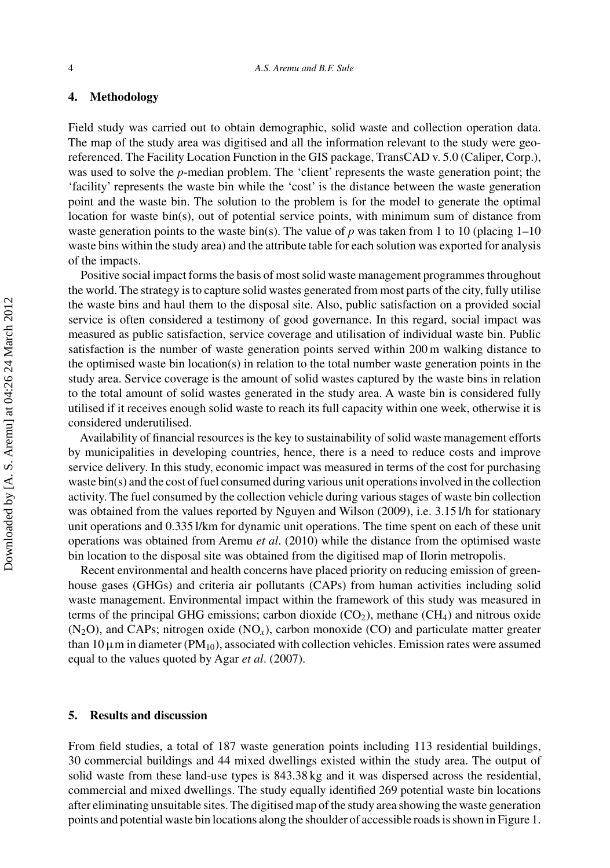## **4. Methodology**

Field study was carried out to obtain demographic, solid waste and collection operation data. The map of the study area was digitised and all the information relevant to the study were georeferenced. The Facility Location Function in the GIS package, TransCAD v. 5.0 (Caliper, Corp.), was used to solve the *p*-median problem. The 'client' represents the waste generation point; the 'facility' represents the waste bin while the 'cost' is the distance between the waste generation point and the waste bin. The solution to the problem is for the model to generate the optimal location for waste bin(s), out of potential service points, with minimum sum of distance from waste generation points to the waste bin(s). The value of *p* was taken from 1 to 10 (placing 1–10) waste bins within the study area) and the attribute table for each solution was exported for analysis of the impacts.

Positive social impact forms the basis of most solid waste management programmes throughout the world. The strategy is to capture solid wastes generated from most parts of the city, fully utilise the waste bins and haul them to the disposal site. Also, public satisfaction on a provided social service is often considered a testimony of good governance. In this regard, social impact was measured as public satisfaction, service coverage and utilisation of individual waste bin. Public satisfaction is the number of waste generation points served within 200 m walking distance to the optimised waste bin location(s) in relation to the total number waste generation points in the study area. Service coverage is the amount of solid wastes captured by the waste bins in relation to the total amount of solid wastes generated in the study area. A waste bin is considered fully utilised if it receives enough solid waste to reach its full capacity within one week, otherwise it is considered underutilised.

Availability of financial resources is the key to sustainability of solid waste management efforts by municipalities in developing countries, hence, there is a need to reduce costs and improve service delivery. In this study, economic impact was measured in terms of the cost for purchasing waste bin(s) and the cost of fuel consumed during various unit operations involved in the collection activity. The fuel consumed by the collection vehicle during various stages of waste bin collection was obtained from the values reported by Nguyen and Wilson (2009), i.e. 3.15 l/h for stationary unit operations and 0.335 l/km for dynamic unit operations. The time spent on each of these unit operations was obtained from Aremu *et al*. (2010) while the distance from the optimised waste bin location to the disposal site was obtained from the digitised map of Ilorin metropolis.

Recent environmental and health concerns have placed priority on reducing emission of greenhouse gases (GHGs) and criteria air pollutants (CAPs) from human activities including solid waste management. Environmental impact within the framework of this study was measured in terms of the principal GHG emissions; carbon dioxide  $(CO<sub>2</sub>)$ , methane  $(CH<sub>4</sub>)$  and nitrous oxide  $(N_2O)$ , and CAPs; nitrogen oxide  $(NO<sub>x</sub>)$ , carbon monoxide  $(CO)$  and particulate matter greater than 10  $\mu$ m in diameter (PM<sub>10</sub>), associated with collection vehicles. Emission rates were assumed equal to the values quoted by Agar *et al*. (2007).

### **5. Results and discussion**

From field studies, a total of 187 waste generation points including 113 residential buildings, 30 commercial buildings and 44 mixed dwellings existed within the study area. The output of solid waste from these land-use types is 843.38 kg and it was dispersed across the residential, commercial and mixed dwellings. The study equally identified 269 potential waste bin locations after eliminating unsuitable sites. The digitised map of the study area showing the waste generation points and potential waste bin locations along the shoulder of accessible roads is shown in Figure [1.](#page-6-0)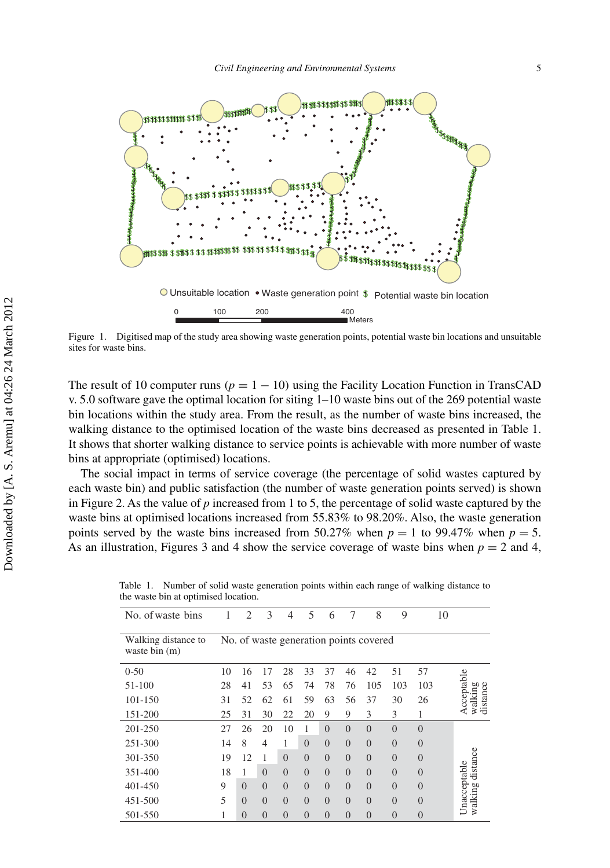<span id="page-6-0"></span>

Figure 1. Digitised map of the study area showing waste generation points, potential waste bin locations and unsuitable sites for waste bins.

The result of 10 computer runs  $(p = 1 - 10)$  using the Facility Location Function in TransCAD v. 5.0 software gave the optimal location for siting 1–10 waste bins out of the 269 potential waste bin locations within the study area. From the result, as the number of waste bins increased, the walking distance to the optimised location of the waste bins decreased as presented in Table 1. It shows that shorter walking distance to service points is achievable with more number of waste bins at appropriate (optimised) locations.

The social impact in terms of service coverage (the percentage of solid wastes captured by each waste bin) and public satisfaction (the number of waste generation points served) is shown in Figure [2.](#page-7-0) As the value of *p* increased from 1 to 5, the percentage of solid waste captured by the waste bins at optimised locations increased from 55.83% to 98.20%. Also, the waste generation points served by the waste bins increased from 50.27% when  $p = 1$  to 99.47% when  $p = 5$ . As an illustration, Figures [3](#page-7-0) and [4](#page-8-0) show the service coverage of waste bins when  $p = 2$  and 4,

| No. of waste bins                    |    | 2        | 3        | 4              | 5              | 6              | 7              | 8                                      | 9        | 10             |                     |
|--------------------------------------|----|----------|----------|----------------|----------------|----------------|----------------|----------------------------------------|----------|----------------|---------------------|
| Walking distance to<br>waste bin (m) |    |          |          |                |                |                |                | No. of waste generation points covered |          |                |                     |
| $0 - 50$                             | 10 | 16       | 17       | 28             | 33             | 37             | 46             | 42                                     | 51       | 57             |                     |
| 51-100                               | 28 | 41       | 53       | 65             | 74             | 78             | 76             | 105                                    | 103      | 103            | Acceptable          |
| 101-150                              | 31 | 52       | 62       | 61             | 59             | 63             | 56             | 37                                     | 30       | 26             | distance<br>walking |
| 151-200                              | 25 | 31       | 30       | 22             | 20             | 9              | 9              | 3                                      | 3        | 1              |                     |
| 201-250                              | 27 | 26       | 20       | 10             |                | $\Omega$       | $\Omega$       | $\overline{0}$                         | $\Omega$ | $\overline{0}$ |                     |
| 251-300                              | 14 | 8        | 4        | 1              | $\Omega$       | $\Omega$       | $\theta$       | $\overline{0}$                         | $\Omega$ | $\theta$       |                     |
| 301-350                              | 19 | 12       |          | $\Omega$       | $\Omega$       | $\Omega$       | $\theta$       | $\overline{0}$                         | $\Omega$ | $\theta$       | distance            |
| 351-400                              | 18 | 1        | $\Omega$ | $\Omega$       | $\Omega$       | $\Omega$       | $\theta$       | $\Omega$                               | $\Omega$ | $\Omega$       | Unacceptable        |
| 401-450                              | 9  | $\Omega$ | $\Omega$ | $\Omega$       | $\Omega$       | $\Omega$       | $\theta$       | $\overline{0}$                         | $\Omega$ | $\theta$       |                     |
| 451-500                              | 5  | $\Omega$ | $\Omega$ | $\Omega$       | $\Omega$       | $\Omega$       | $\theta$       | $\Omega$                               | $\Omega$ | $\theta$       | walking             |
| 501-550                              |    | $\theta$ | $\Omega$ | $\overline{0}$ | $\overline{0}$ | $\overline{0}$ | $\overline{0}$ | $\theta$                               | $\Omega$ | $\theta$       |                     |

Table 1. Number of solid waste generation points within each range of walking distance to the waste bin at optimised location.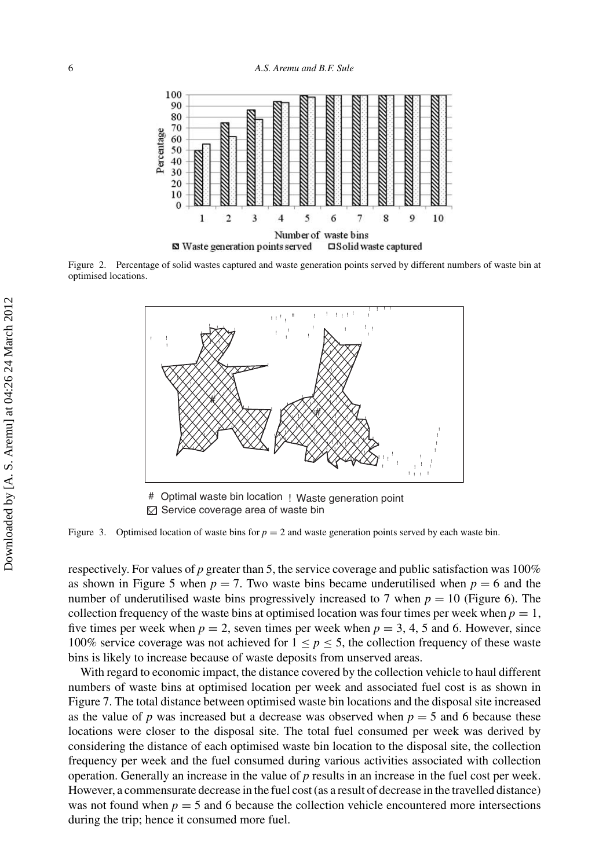<span id="page-7-0"></span>

Figure 2. Percentage of solid wastes captured and waste generation points served by different numbers of waste bin at optimised locations.



Optimal waste bin location ! Waste generation point  $\boxtimes$  Service coverage area of waste bin

Figure 3. Optimised location of waste bins for  $p = 2$  and waste generation points served by each waste bin.

respectively. For values of *p* greater than 5, the service coverage and public satisfaction was 100% as shown in Figure [5](#page-8-0) when  $p = 7$ . Two waste bins became underutilised when  $p = 6$  and the number of underutilised waste bins progressively increased to 7 when  $p = 10$  (Figure [6\)](#page-8-0). The collection frequency of the waste bins at optimised location was four times per week when  $p = 1$ , five times per week when  $p = 2$ , seven times per week when  $p = 3, 4, 5$  and 6. However, since 100% service coverage was not achieved for  $1 \le p \le 5$ , the collection frequency of these waste bins is likely to increase because of waste deposits from unserved areas.

With regard to economic impact, the distance covered by the collection vehicle to haul different numbers of waste bins at optimised location per week and associated fuel cost is as shown in Figure [7.](#page-9-0) The total distance between optimised waste bin locations and the disposal site increased as the value of *p* was increased but a decrease was observed when  $p = 5$  and 6 because these locations were closer to the disposal site. The total fuel consumed per week was derived by considering the distance of each optimised waste bin location to the disposal site, the collection frequency per week and the fuel consumed during various activities associated with collection operation. Generally an increase in the value of *p* results in an increase in the fuel cost per week. However, a commensurate decrease in the fuel cost (as a result of decrease in the travelled distance) was not found when  $p = 5$  and 6 because the collection vehicle encountered more intersections during the trip; hence it consumed more fuel.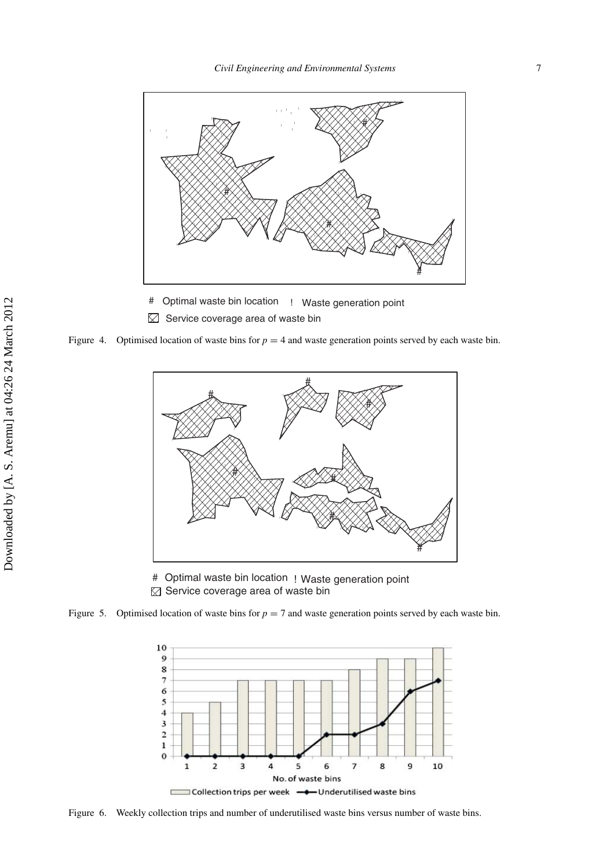<span id="page-8-0"></span>

- # Optimal waste bin location ! Waste generation point
- $\boxtimes$  Service coverage area of waste bin

Figure 4. Optimised location of waste bins for  $p = 4$  and waste generation points served by each waste bin.



# Optimal waste bin location ! Waste generation point  $\boxtimes$  Service coverage area of waste bin

Figure 5. Optimised location of waste bins for  $p = 7$  and waste generation points served by each waste bin.



Figure 6. Weekly collection trips and number of underutilised waste bins versus number of waste bins.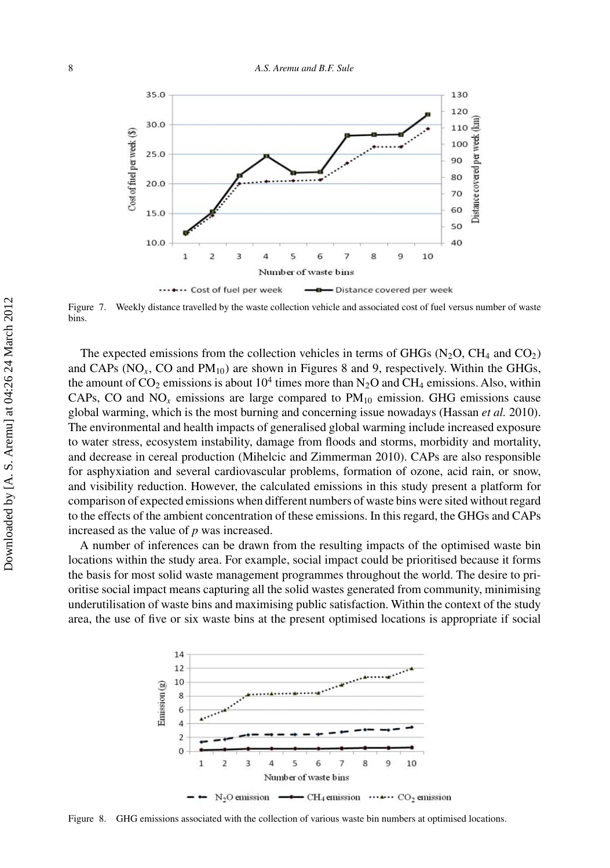<span id="page-9-0"></span>

Figure 7. Weekly distance travelled by the waste collection vehicle and associated cost of fuel versus number of waste bins.

The expected emissions from the collection vehicles in terms of GHGs  $(N_2O, CH_4 \text{ and } CO_2)$ and CAPs ( $NO<sub>x</sub>$ , CO and  $PM<sub>10</sub>$ ) are shown in Figures 8 and [9,](#page-10-0) respectively. Within the GHGs, the amount of  $CO_2$  emissions is about  $10^4$  times more than N<sub>2</sub>O and CH<sub>4</sub> emissions. Also, within CAPs, CO and  $NO<sub>x</sub>$  emissions are large compared to  $PM<sub>10</sub>$  emission. GHG emissions cause global warming, which is the most burning and concerning issue nowadays (Hassan *et al.* 2010). The environmental and health impacts of generalised global warming include increased exposure to water stress, ecosystem instability, damage from floods and storms, morbidity and mortality, and decrease in cereal production (Mihelcic and Zimmerman 2010). CAPs are also responsible for asphyxiation and several cardiovascular problems, formation of ozone, acid rain, or snow, and visibility reduction. However, the calculated emissions in this study present a platform for comparison of expected emissions when different numbers of waste bins were sited without regard to the effects of the ambient concentration of these emissions. In this regard, the GHGs and CAPs increased as the value of *p* was increased.

A number of inferences can be drawn from the resulting impacts of the optimised waste bin locations within the study area. For example, social impact could be prioritised because it forms the basis for most solid waste management programmes throughout the world. The desire to prioritise social impact means capturing all the solid wastes generated from community, minimising underutilisation of waste bins and maximising public satisfaction. Within the context of the study area, the use of five or six waste bins at the present optimised locations is appropriate if social



Figure 8. GHG emissions associated with the collection of various waste bin numbers at optimised locations.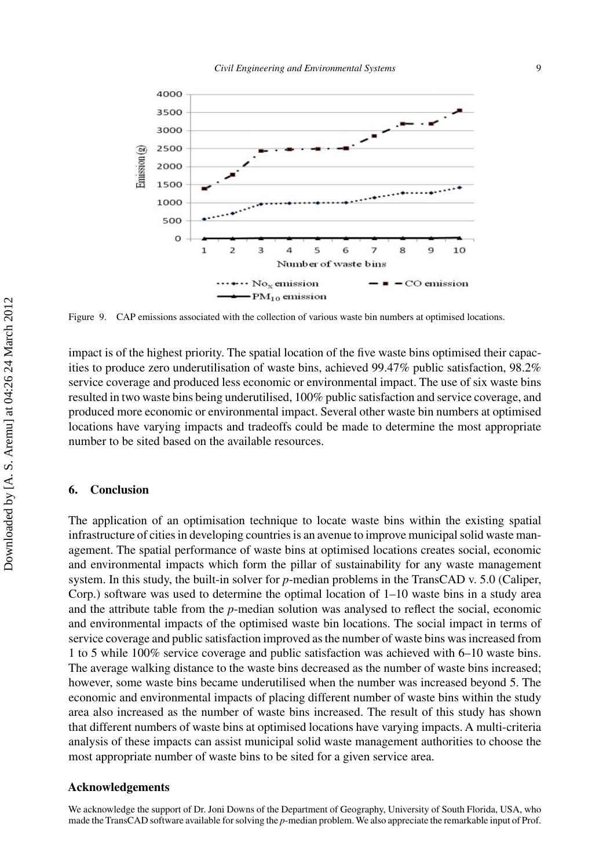<span id="page-10-0"></span>

Figure 9. CAP emissions associated with the collection of various waste bin numbers at optimised locations.

impact is of the highest priority. The spatial location of the five waste bins optimised their capacities to produce zero underutilisation of waste bins, achieved 99.47% public satisfaction, 98.2% service coverage and produced less economic or environmental impact. The use of six waste bins resulted in two waste bins being underutilised, 100% public satisfaction and service coverage, and produced more economic or environmental impact. Several other waste bin numbers at optimised locations have varying impacts and tradeoffs could be made to determine the most appropriate number to be sited based on the available resources.

# **6. Conclusion**

The application of an optimisation technique to locate waste bins within the existing spatial infrastructure of cities in developing countries is an avenue to improve municipal solid waste management. The spatial performance of waste bins at optimised locations creates social, economic and environmental impacts which form the pillar of sustainability for any waste management system. In this study, the built-in solver for *p*-median problems in the TransCAD v. 5.0 (Caliper, Corp.) software was used to determine the optimal location of 1–10 waste bins in a study area and the attribute table from the *p*-median solution was analysed to reflect the social, economic and environmental impacts of the optimised waste bin locations. The social impact in terms of service coverage and public satisfaction improved as the number of waste bins was increased from 1 to 5 while 100% service coverage and public satisfaction was achieved with 6–10 waste bins. The average walking distance to the waste bins decreased as the number of waste bins increased; however, some waste bins became underutilised when the number was increased beyond 5. The economic and environmental impacts of placing different number of waste bins within the study area also increased as the number of waste bins increased. The result of this study has shown that different numbers of waste bins at optimised locations have varying impacts. A multi-criteria analysis of these impacts can assist municipal solid waste management authorities to choose the most appropriate number of waste bins to be sited for a given service area.

### **Acknowledgements**

We acknowledge the support of Dr. Joni Downs of the Department of Geography, University of South Florida, USA, who made the TransCAD software available for solving the *p*-median problem. We also appreciate the remarkable input of Prof.